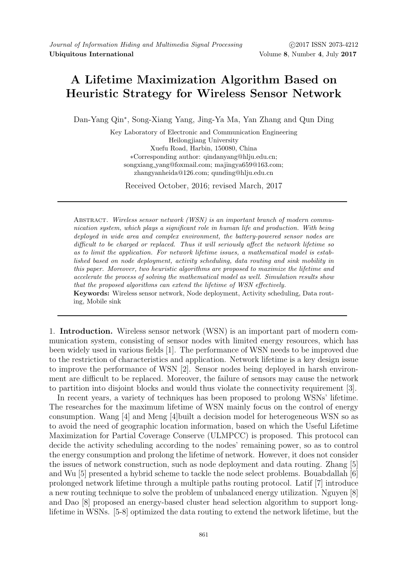ing, Mobile sink

## A Lifetime Maximization Algorithm Based on Heuristic Strategy for Wireless Sensor Network

Dan-Yang Qin<sup>∗</sup> , Song-Xiang Yang, Jing-Ya Ma, Yan Zhang and Qun Ding

Key Laboratory of Electronic and Communication Engineering Heilongjiang University Xuefu Road, Harbin, 150080, China ∗Corresponding author: qindanyang@hlju.edu.cn; songxiang yang@foxmail.com; majingya659@163.com; zhangyanheida@126.com; qunding@hlju.edu.cn

Received October, 2016; revised March, 2017

Abstract. Wireless sensor network (WSN) is an important branch of modern communication system, which plays a significant role in human life and production. With being deployed in wide area and complex environment, the battery-powered sensor nodes are difficult to be charged or replaced. Thus it will seriously affect the network lifetime so as to limit the application. For network lifetime issues, a mathematical model is established based on node deployment, activity scheduling, data routing and sink mobility in this paper. Moreover, two heuristic algorithms are proposed to maximize the lifetime and accelerate the process of solving the mathematical model as well. Simulation results show that the proposed algorithms can extend the lifetime of WSN effectively. Keywords: Wireless sensor network, Node deployment, Activity scheduling, Data rout-

1. Introduction. Wireless sensor network (WSN) is an important part of modern communication system, consisting of sensor nodes with limited energy resources, which has been widely used in various fields [1]. The performance of WSN needs to be improved due to the restriction of characteristics and application. Network lifetime is a key design issue to improve the performance of WSN [2]. Sensor nodes being deployed in harsh environment are difficult to be replaced. Moreover, the failure of sensors may cause the network to partition into disjoint blocks and would thus violate the connectivity requirement [3].

In recent years, a variety of techniques has been proposed to prolong WSNs' lifetime. The researches for the maximum lifetime of WSN mainly focus on the control of energy consumption. Wang [4] and Meng [4]built a decision model for heterogeneous WSN so as to avoid the need of geographic location information, based on which the Useful Lifetime Maximization for Partial Coverage Conserve (ULMPCC) is proposed. This protocol can decide the activity scheduling according to the nodes' remaining power, so as to control the energy consumption and prolong the lifetime of network. However, it does not consider the issues of network construction, such as node deployment and data routing. Zhang [5] and Wu [5] presented a hybrid scheme to tackle the node select problems. Bouabdallah [6] prolonged network lifetime through a multiple paths routing protocol. Latif [7] introduce a new routing technique to solve the problem of unbalanced energy utilization. Nguyen [8] and Dao [8] proposed an energy-based cluster head selection algorithm to support longlifetime in WSNs. [5-8] optimized the data routing to extend the network lifetime, but the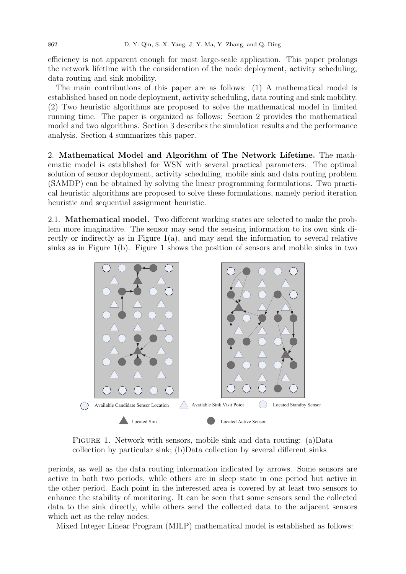efficiency is not apparent enough for most large-scale application. This paper prolongs the network lifetime with the consideration of the node deployment, activity scheduling, data routing and sink mobility.

The main contributions of this paper are as follows: (1) A mathematical model is established based on node deployment, activity scheduling, data routing and sink mobility. (2) Two heuristic algorithms are proposed to solve the mathematical model in limited running time. The paper is organized as follows: Section 2 provides the mathematical model and two algorithms. Section 3 describes the simulation results and the performance analysis. Section 4 summarizes this paper.

2. Mathematical Model and Algorithm of The Network Lifetime. The mathematic model is established for WSN with several practical parameters. The optimal solution of sensor deployment, activity scheduling, mobile sink and data routing problem (SAMDP) can be obtained by solving the linear programming formulations. Two practical heuristic algorithms are proposed to solve these formulations, namely period iteration heuristic and sequential assignment heuristic.

2.1. Mathematical model. Two different working states are selected to make the problem more imaginative. The sensor may send the sensing information to its own sink directly or indirectly as in Figure  $1(a)$ , and may send the information to several relative sinks as in Figure 1(b). Figure 1 shows the position of sensors and mobile sinks in two



Figure 1. Network with sensors, mobile sink and data routing: (a)Data collection by particular sink; (b)Data collection by several different sinks

periods, as well as the data routing information indicated by arrows. Some sensors are active in both two periods, while others are in sleep state in one period but active in the other period. Each point in the interested area is covered by at least two sensors to enhance the stability of monitoring. It can be seen that some sensors send the collected data to the sink directly, while others send the collected data to the adjacent sensors which act as the relay nodes.

Mixed Integer Linear Program (MILP) mathematical model is established as follows: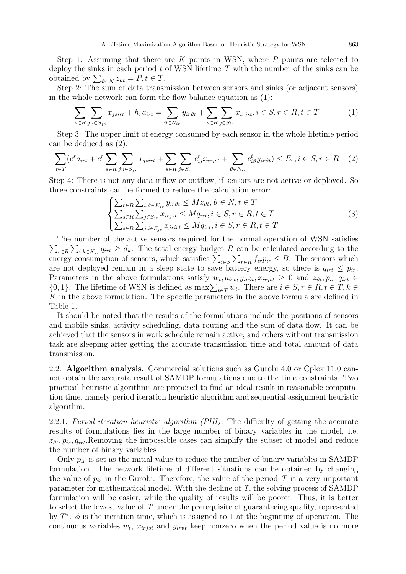Step 1: Assuming that there are K points in WSN, where  $P$  points are selected to deploy the sinks in each period  $t$  of WSN lifetime  $T$  with the number of the sinks can be obtained by  $\sum_{\vartheta \in N} z_{\vartheta t} = P, t \in T$ .

Step 2: The sum of data transmission between sensors and sinks (or adjacent sensors) in the whole network can form the flow balance equation as (1):

$$
\sum_{s \in R} \sum_{j:i \in S_{js}} x_{jsirt} + h_r a_{irt} = \sum_{\vartheta \in N_{ir}} y_{ir\vartheta t} + \sum_{s \in R} \sum_{j \in S_{ir}} x_{irjst}, i \in S, r \in R, t \in T
$$
 (1)

Step 3: The upper limit of energy consumed by each sensor in the whole lifetime period can be deduced as (2):

$$
\sum_{t \in T} (c^s a_{irt} + c^r \sum_{s \in R} \sum_{j:i \in S_{js}} x_{jsirt} + \sum_{s \in R} \sum_{j \in S_{ir}} c^t_{ij} x_{irjst} + \sum_{\vartheta \in N_{ir}} c^t_{i\vartheta} y_{ir\vartheta t}) \le E_r, i \in S, r \in R \quad (2)
$$

Step 4: There is not any data inflow or outflow, if sensors are not active or deployed. So three constraints can be formed to reduce the calculation error:

$$
\begin{cases}\n\sum_{r \in R} \sum_{i: \vartheta \in K_{ir}} y_{ir\vartheta t} \leq M z_{\vartheta t}, \vartheta \in N, t \in T \\
\sum_{s \in R} \sum_{j \in S_{ir}} x_{irjst} \leq M q_{irt}, i \in S, r \in R, t \in T \\
\sum_{s \in R} \sum_{j: i \in S_{js}} x_{jsirt} \leq M q_{irt}, i \in S, r \in R, t \in T\n\end{cases}
$$
\n(3)

 $\sum_{r \in R} \sum_{i:k \in K_{ir}} q_{irt} \geq d_k$ . The total energy budget B can be calculated according to the The number of the active sensors required for the normal operation of WSN satisfies energy consumption of sensors, which satisfies  $\sum_{i \in S} \sum_{r \in R} f_{ir} p_{ir} \leq B$ . The sensors which are not deployed remain in a sleep state to save battery energy, so there is  $q_{irt} \leq p_{ir}$ . Parameters in the above formulations satisfy  $w_t$ ,  $a_{irt}$ ,  $y_{ir\vartheta t}$ ,  $x_{irjst} \geq 0$  and  $z_{\vartheta t}$ ,  $p_{ir}$ ,  $q_{irt} \in$  $\{0, 1\}$ . The lifetime of WSN is defined as  $\max\sum_{t \in T} w_t$ . There are  $i \in S, r \in R, t \in T, k \in T$  $K$  in the above formulation. The specific parameters in the above formula are defined in Table 1.

It should be noted that the results of the formulations include the positions of sensors and mobile sinks, activity scheduling, data routing and the sum of data flow. It can be achieved that the sensors in work schedule remain active, and others without transmission task are sleeping after getting the accurate transmission time and total amount of data transmission.

2.2. Algorithm analysis. Commercial solutions such as Gurobi 4.0 or Cplex 11.0 cannot obtain the accurate result of SAMDP formulations due to the time constraints. Two practical heuristic algorithms are proposed to find an ideal result in reasonable computation time, namely period iteration heuristic algorithm and sequential assignment heuristic algorithm.

2.2.1. Period iteration heuristic algorithm (PIH). The difficulty of getting the accurate results of formulations lies in the large number of binary variables in the model, i.e.  $z_{\vartheta t}$ ,  $p_{ir}$ ,  $q_{irt}$ . Removing the impossible cases can simplify the subset of model and reduce the number of binary variables.

Only  $p_{ir}$  is set as the initial value to reduce the number of binary variables in SAMDP formulation. The network lifetime of different situations can be obtained by changing the value of  $p_{ir}$  in the Gurobi. Therefore, the value of the period T is a very important parameter for mathematical model. With the decline of T, the solving process of SAMDP formulation will be easier, while the quality of results will be poorer. Thus, it is better to select the lowest value of T under the prerequisite of guaranteeing quality, represented by  $T^*$ .  $\phi$  is the iteration time, which is assigned to 1 at the beginning of operation. The continuous variables  $w_t$ ,  $x_{irjst}$  and  $y_{ir\vartheta t}$  keep nonzero when the period value is no more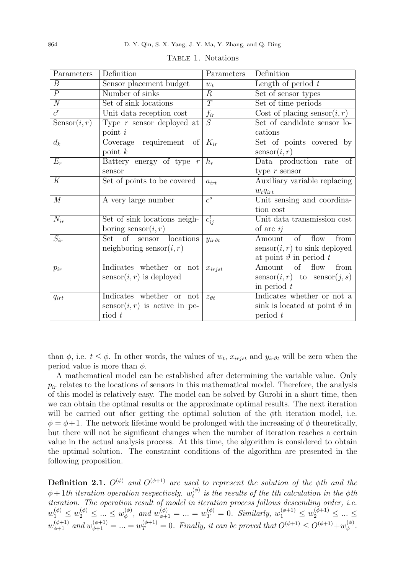| Parameters       | Definition                               | Parameters          | Definition                                    |
|------------------|------------------------------------------|---------------------|-----------------------------------------------|
| $\boldsymbol{B}$ | Sensor placement budget                  | $w_t$               | Length of period $t$                          |
| $\overline{P}$   | Number of sinks                          | $\, R \,$           | Set of sensor types                           |
| $\overline{N}$   | Set of sink locations                    | $\overline{T}$      | Set of time periods                           |
| $\overline{c^r}$ | Unit data reception cost                 | $f_{ir}$            | Cost of placing sensor $(i, r)$               |
| Sensor(i, r)     | Type $r$ sensor deployed at              | $\overline{S}$      | Set of candidate sensor lo-                   |
|                  | point $i$                                |                     | cations                                       |
| $d_k$            | Coverage requirement<br>$\sigma$         | $K_{ir}$            | Set of points covered by                      |
|                  | point $k$                                |                     | sensor(i, r)                                  |
| $E_r$            | Battery energy of type $r$               | $h_r$               | Data production rate of                       |
|                  | sensor                                   |                     | type $r$ sensor                               |
| K                | Set of points to be covered              | $a_{irt}$           | Auxiliary variable replacing                  |
|                  |                                          |                     | $w_tq_{irt}$                                  |
| M                | A very large number                      | $c^s$               | Unit sensing and coordina-                    |
|                  |                                          |                     | tion cost                                     |
| $N_{ir}$         | Set of sink locations neigh-             | $c_{ij}^t$          | Unit data transmission cost                   |
|                  | boring sensor $(i, r)$                   |                     | of arc $ij$                                   |
| $S_{ir}$         | Set of sensor locations                  | $y_{ir\vartheta t}$ | of<br>flow<br>from<br>Amount                  |
|                  | neighboring sensor $(i, r)$              |                     | $\operatorname{sensor}(i,r)$ to sink deployed |
|                  |                                          |                     | at point $\vartheta$ in period t              |
| $p_{ir}$         | Indicates whether or not                 | $x_{irjst}$         | of<br>from<br>Amount<br>flow                  |
|                  | $\operatorname{sensor}(i,r)$ is deployed |                     | $sensor(i, r)$ to $sensor(j, s)$              |
|                  |                                          |                     | in period $t$                                 |
| $q_{irt}$        | Indicates whether or not                 | $z_{\theta t}$      | Indicates whether or not a                    |
|                  | $sensor(i, r)$ is active in pe-          |                     | sink is located at point $\vartheta$ in       |
|                  | $\mod t$                                 |                     | period t                                      |

TABLE 1. Notations

than  $\phi$ , i.e.  $t \leq \phi$ . In other words, the values of  $w_t$ ,  $x_{irjst}$  and  $y_{ir\vartheta t}$  will be zero when the period value is more than  $\phi$ .

A mathematical model can be established after determining the variable value. Only  $p_{ir}$  relates to the locations of sensors in this mathematical model. Therefore, the analysis of this model is relatively easy. The model can be solved by Gurobi in a short time, then we can obtain the optimal results or the approximate optimal results. The next iteration will be carried out after getting the optimal solution of the  $\phi$ th iteration model, i.e.  $\phi = \phi + 1$ . The network lifetime would be prolonged with the increasing of  $\phi$  theoretically, but there will not be significant changes when the number of iteration reaches a certain value in the actual analysis process. At this time, the algorithm is considered to obtain the optimal solution. The constraint conditions of the algorithm are presented in the following proposition.

**Definition 2.1.**  $O^{(\phi)}$  and  $O^{(\phi+1)}$  are used to represent the solution of the  $\phi$ th and the  $\phi + 1$ th iteration operation respectively.  $w_t^{(\phi)}$  $t_t^{(\varphi)}$  is the results of the tth calculation in the  $\phi$ th iteration. The operation result of model in iteration process follows descending order, i.e.  $w_1^{(\phi)} \leq w_2^{(\phi)} \leq ... \leq w_{\phi}^{(\phi)}$  $\psi_{\phi}^{(\phi)}$ , and  $w_{\phi+1}^{(\phi)} = ... = w_T^{(\phi)} = 0$ . Similarly,  $w_1^{(\phi+1)} \leq w_2^{(\phi+1)} \leq ... \leq$  $w_{\phi+1}^{(\phi+1)}$  and  $w_{\phi+1}^{(\phi+1)} = ... = w_T^{(\phi+1)} = 0$ . Finally, it can be proved that  $O^{(\phi+1)} \leq O^{(\phi+1)} + w_{\phi}^{(\phi)}$ φ .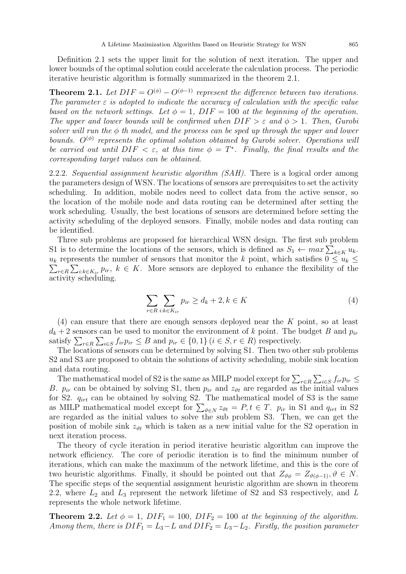Definition 2.1 sets the upper limit for the solution of next iteration. The upper and lower bounds of the optimal solution could accelerate the calculation process. The periodic iterative heuristic algorithm is formally summarized in the theorem 2.1.

**Theorem 2.1.** Let  $DIF = O^{(\phi)} - O^{(\phi-1)}$  represent the difference between two iterations. The parameter  $\varepsilon$  is adopted to indicate the accuracy of calculation with the specific value based on the network settings. Let  $\phi = 1$ ,  $DIF = 100$  at the beginning of the operation. The upper and lower bounds will be confirmed when  $DIF > \varepsilon$  and  $\phi > 1$ . Then, Gurobi solver will run the  $\phi$  th model, and the process can be sped up through the upper and lower bounds.  $O^{(\phi)}$  represents the optimal solution obtained by Gurobi solver. Operations will be carried out until  $DIF < \varepsilon$ , at this time  $\phi = T^*$ . Finally, the final results and the corresponding target values can be obtained.

2.2.2. Sequential assignment heuristic algorithm (SAH). There is a logical order among the parameters design of WSN. The locations of sensors are prerequisites to set the activity scheduling. In addition, mobile nodes need to collect data from the active sensor, so the location of the mobile node and data routing can be determined after setting the work scheduling. Usually, the best locations of sensors are determined before setting the activity scheduling of the deployed sensors. Finally, mobile nodes and data routing can be identified.

Three sub problems are proposed for hierarchical WSN design. The first sub problem S1 is to determine the locations of the sensors, which is defined as  $S_1 \leftarrow max \sum_{k \in K} u_k$ .  $\sum_{r \in R} \sum_{i:k \in K_{ir}} p_{ir}, k \in K$ . More sensors are deployed to enhance the flexibility of the  $u_k$  represents the number of sensors that monitor the k point, which satisfies  $0 \le u_k \le$ activity scheduling.

$$
\sum_{r \in R} \sum_{i:k \in K_{ir}} p_{ir} \ge d_k + 2, k \in K \tag{4}
$$

(4) can ensure that there are enough sensors deployed near the K point, so at least  $d_k + 2$  sensors can be used to monitor the environment of k point. The budget B and  $p_{ir}$ satisfy  $\sum_{r \in R} \sum_{i \in S} f_{ir} p_{ir} \leq B$  and  $p_{ir} \in \{0, 1\}$   $(i \in S, r \in R)$  respectively.

The locations of sensors can be determined by solving S1. Then two other sub problems S2 and S3 are proposed to obtain the solutions of activity scheduling, mobile sink location and data routing.

The mathematical model of S2 is the same as MILP model except for  $\sum_{r \in R} \sum_{i \in S} f_{ir} p_{ir} \leq$ B.  $p_{ir}$  can be obtained by solving S1, then  $p_{ir}$  and  $z_{\vartheta t}$  are regarded as the initial values for S2.  $q_{irt}$  can be obtained by solving S2. The mathematical model of S3 is the same as MILP mathematical model except for  $\sum_{\vartheta \in N} z_{\vartheta t} = P, t \in T$ .  $p_{ir}$  in S1 and  $q_{irt}$  in S2 are regarded as the initial values to solve the sub problem S3. Then, we can get the position of mobile sink  $z_{\vartheta t}$  which is taken as a new initial value for the S2 operation in next iteration process.

The theory of cycle iteration in period iterative heuristic algorithm can improve the network efficiency. The core of periodic iteration is to find the minimum number of iterations, which can make the maximum of the network lifetime, and this is the core of two heuristic algorithms. Finally, it should be pointed out that  $Z_{\vartheta\phi} = Z_{\vartheta(\phi-1)}, \vartheta \in N$ . The specific steps of the sequential assignment heuristic algorithm are shown in theorem 2.2, where  $L_2$  and  $L_3$  represent the network lifetime of S2 and S3 respectively, and L represents the whole network lifetime.

**Theorem 2.2.** Let  $\phi = 1$ ,  $DIF_1 = 100$ ,  $DIF_2 = 100$  at the beginning of the algorithm. Among them, there is  $DIF_1 = L_3 - L$  and  $DIF_2 = L_3 - L_2$ . Firstly, the position parameter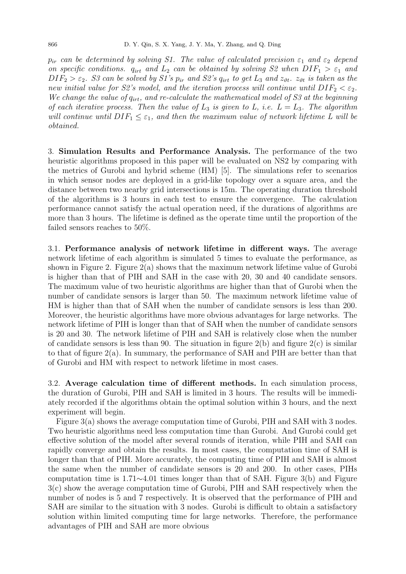$p_{ir}$  can be determined by solving S1. The value of calculated precision  $\varepsilon_1$  and  $\varepsilon_2$  depend on specific conditions.  $q_{irt}$  and  $L_2$  can be obtained by solving S2 when  $DIF_1 > \varepsilon_1$  and  $DIF_2 > \varepsilon_2$ . S3 can be solved by S1's  $p_{ir}$  and S2's  $q_{irt}$  to get  $L_3$  and  $z_{\vartheta t}$ .  $z_{\vartheta t}$  is taken as the new initial value for S2's model, and the iteration process will continue until  $DIF_2 < \varepsilon_2$ . We change the value of  $q_{irt}$ , and re-calculate the mathematical model of S3 at the beginning of each iterative process. Then the value of  $L_3$  is given to L, i.e.  $L = L_3$ . The algorithm will continue until  $DIF_1 \leq \varepsilon_1$ , and then the maximum value of network lifetime L will be obtained.

3. Simulation Results and Performance Analysis. The performance of the two heuristic algorithms proposed in this paper will be evaluated on NS2 by comparing with the metrics of Gurobi and hybrid scheme (HM) [5]. The simulations refer to scenarios in which sensor nodes are deployed in a grid-like topology over a square area, and the distance between two nearby grid intersections is 15m. The operating duration threshold of the algorithms is 3 hours in each test to ensure the convergence. The calculation performance cannot satisfy the actual operation need, if the durations of algorithms are more than 3 hours. The lifetime is defined as the operate time until the proportion of the failed sensors reaches to 50%.

3.1. Performance analysis of network lifetime in different ways. The average network lifetime of each algorithm is simulated 5 times to evaluate the performance, as shown in Figure 2. Figure 2(a) shows that the maximum network lifetime value of Gurobi is higher than that of PIH and SAH in the case with 20, 30 and 40 candidate sensors. The maximum value of two heuristic algorithms are higher than that of Gurobi when the number of candidate sensors is larger than 50. The maximum network lifetime value of HM is higher than that of SAH when the number of candidate sensors is less than 200. Moreover, the heuristic algorithms have more obvious advantages for large networks. The network lifetime of PIH is longer than that of SAH when the number of candidate sensors is 20 and 30. The network lifetime of PIH and SAH is relatively close when the number of candidate sensors is less than 90. The situation in figure  $2(b)$  and figure  $2(c)$  is similar to that of figure 2(a). In summary, the performance of SAH and PIH are better than that of Gurobi and HM with respect to network lifetime in most cases.

3.2. Average calculation time of different methods. In each simulation process, the duration of Gurobi, PIH and SAH is limited in 3 hours. The results will be immediately recorded if the algorithms obtain the optimal solution within 3 hours, and the next experiment will begin.

Figure 3(a) shows the average computation time of Gurobi, PIH and SAH with 3 nodes. Two heuristic algorithms need less computation time than Gurobi. And Gurobi could get effective solution of the model after several rounds of iteration, while PIH and SAH can rapidly converge and obtain the results. In most cases, the computation time of SAH is longer than that of PIH. More accurately, the computing time of PIH and SAH is almost the same when the number of candidate sensors is 20 and 200. In other cases, PIHs computation time is 1.71∼4.01 times longer than that of SAH. Figure 3(b) and Figure 3(c) show the average computation time of Gurobi, PIH and SAH respectively when the number of nodes is 5 and 7 respectively. It is observed that the performance of PIH and SAH are similar to the situation with 3 nodes. Gurobi is difficult to obtain a satisfactory solution within limited computing time for large networks. Therefore, the performance advantages of PIH and SAH are more obvious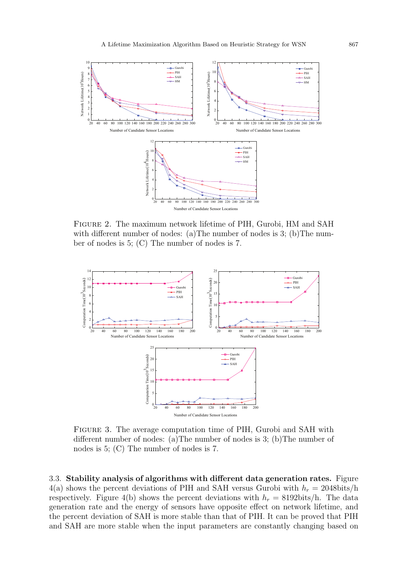

Figure 2. The maximum network lifetime of PIH, Gurobi, HM and SAH with different number of nodes: (a) The number of nodes is 3; (b) The number of nodes is 5; (C) The number of nodes is 7.



Figure 3. The average computation time of PIH, Gurobi and SAH with different number of nodes: (a)The number of nodes is 3; (b)The number of nodes is 5; (C) The number of nodes is 7.

3.3. Stability analysis of algorithms with different data generation rates. Figure 4(a) shows the percent deviations of PIH and SAH versus Gurobi with  $h_r = 2048$ bits/h respectively. Figure 4(b) shows the percent deviations with  $h_r = 8192 \text{bits/h}$ . The data generation rate and the energy of sensors have opposite effect on network lifetime, and the percent deviation of SAH is more stable than that of PIH. It can be proved that PIH and SAH are more stable when the input parameters are constantly changing based on